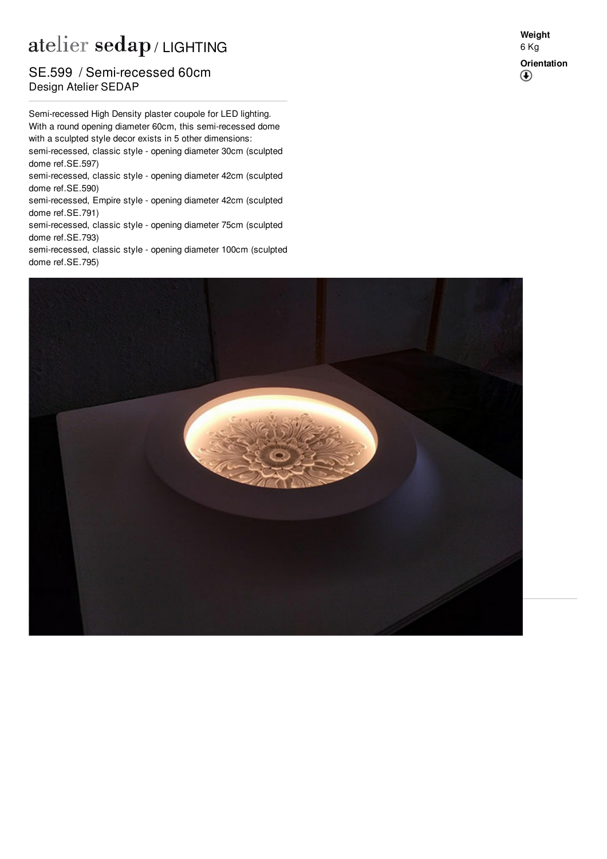## atelier sedap / LIGHTING

## **Design Atelier SEDAP** SE.599 / Semi-recessed 60cm

Semi-recessed High Density plaster coupole for LED lighting. With a round opening diameter 60cm, this semi-recessed dome with a sculpted style decor exists in 5 other dimensions: semi-recessed, classic style - opening diameter 30cm (sculpted dome ref[.SE.597](http://www.sedap.com/lighting/fr/produits/view/SE.597))

semi-recessed, classic style - opening diameter 42cm (sculpted dome ref[.SE.590](http://www.sedap.com/lighting/fr/produits/view/SE.590))

semi-recessed, Empire style - opening diameter 42cm (sculpted dome ref[.SE.791](http://www.sedap.com/lighting/fr/produits/view/SE.791))

semi-recessed, classic style - opening diameter 75cm (sculpted dome ref[.SE.793](http://www.sedap.com/lighting/fr/produits/view/SE.793))

semi-recessed, classic style - opening diameter 100cm (sculpted dome ref[.SE.795](http://www.sedap.com/lighting/fr/produits/view/SE.795))